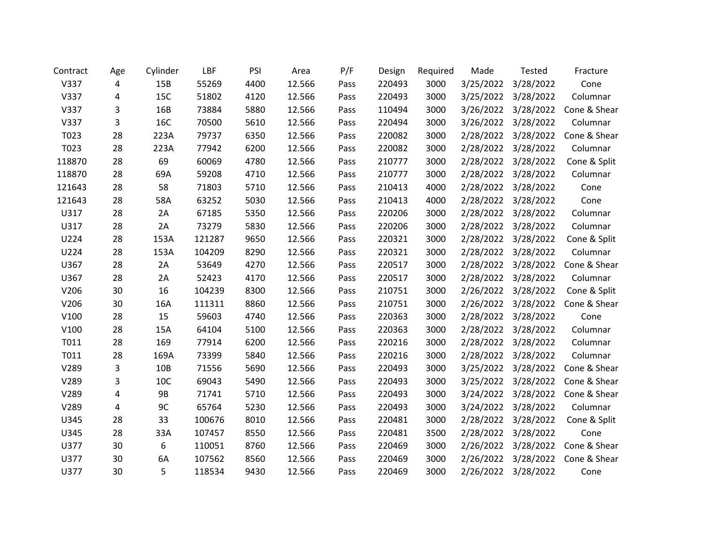| Contract | Age | Cylinder   | LBF    | PSI  | Area   | P/F  | Design | Required | Made      | <b>Tested</b>       | Fracture     |
|----------|-----|------------|--------|------|--------|------|--------|----------|-----------|---------------------|--------------|
| V337     | 4   | 15B        | 55269  | 4400 | 12.566 | Pass | 220493 | 3000     | 3/25/2022 | 3/28/2022           | Cone         |
| V337     | 4   | 15C        | 51802  | 4120 | 12.566 | Pass | 220493 | 3000     | 3/25/2022 | 3/28/2022           | Columnar     |
| V337     | 3   | 16B        | 73884  | 5880 | 12.566 | Pass | 110494 | 3000     | 3/26/2022 | 3/28/2022           | Cone & Shear |
| V337     | 3   | <b>16C</b> | 70500  | 5610 | 12.566 | Pass | 220494 | 3000     | 3/26/2022 | 3/28/2022           | Columnar     |
| T023     | 28  | 223A       | 79737  | 6350 | 12.566 | Pass | 220082 | 3000     | 2/28/2022 | 3/28/2022           | Cone & Shear |
| T023     | 28  | 223A       | 77942  | 6200 | 12.566 | Pass | 220082 | 3000     | 2/28/2022 | 3/28/2022           | Columnar     |
| 118870   | 28  | 69         | 60069  | 4780 | 12.566 | Pass | 210777 | 3000     | 2/28/2022 | 3/28/2022           | Cone & Split |
| 118870   | 28  | 69A        | 59208  | 4710 | 12.566 | Pass | 210777 | 3000     |           | 2/28/2022 3/28/2022 | Columnar     |
| 121643   | 28  | 58         | 71803  | 5710 | 12.566 | Pass | 210413 | 4000     | 2/28/2022 | 3/28/2022           | Cone         |
| 121643   | 28  | 58A        | 63252  | 5030 | 12.566 | Pass | 210413 | 4000     | 2/28/2022 | 3/28/2022           | Cone         |
| U317     | 28  | 2A         | 67185  | 5350 | 12.566 | Pass | 220206 | 3000     | 2/28/2022 | 3/28/2022           | Columnar     |
| U317     | 28  | 2A         | 73279  | 5830 | 12.566 | Pass | 220206 | 3000     | 2/28/2022 | 3/28/2022           | Columnar     |
| U224     | 28  | 153A       | 121287 | 9650 | 12.566 | Pass | 220321 | 3000     | 2/28/2022 | 3/28/2022           | Cone & Split |
| U224     | 28  | 153A       | 104209 | 8290 | 12.566 | Pass | 220321 | 3000     | 2/28/2022 | 3/28/2022           | Columnar     |
| U367     | 28  | 2A         | 53649  | 4270 | 12.566 | Pass | 220517 | 3000     | 2/28/2022 | 3/28/2022           | Cone & Shear |
| U367     | 28  | 2A         | 52423  | 4170 | 12.566 | Pass | 220517 | 3000     | 2/28/2022 | 3/28/2022           | Columnar     |
| V206     | 30  | 16         | 104239 | 8300 | 12.566 | Pass | 210751 | 3000     | 2/26/2022 | 3/28/2022           | Cone & Split |
| V206     | 30  | 16A        | 111311 | 8860 | 12.566 | Pass | 210751 | 3000     | 2/26/2022 | 3/28/2022           | Cone & Shear |
| V100     | 28  | 15         | 59603  | 4740 | 12.566 | Pass | 220363 | 3000     | 2/28/2022 | 3/28/2022           | Cone         |
| V100     | 28  | 15A        | 64104  | 5100 | 12.566 | Pass | 220363 | 3000     | 2/28/2022 | 3/28/2022           | Columnar     |
| T011     | 28  | 169        | 77914  | 6200 | 12.566 | Pass | 220216 | 3000     | 2/28/2022 | 3/28/2022           | Columnar     |
| T011     | 28  | 169A       | 73399  | 5840 | 12.566 | Pass | 220216 | 3000     | 2/28/2022 | 3/28/2022           | Columnar     |
| V289     | 3   | 10B        | 71556  | 5690 | 12.566 | Pass | 220493 | 3000     | 3/25/2022 | 3/28/2022           | Cone & Shear |
| V289     | 3   | 10C        | 69043  | 5490 | 12.566 | Pass | 220493 | 3000     | 3/25/2022 | 3/28/2022           | Cone & Shear |
| V289     | 4   | <b>9B</b>  | 71741  | 5710 | 12.566 | Pass | 220493 | 3000     | 3/24/2022 | 3/28/2022           | Cone & Shear |
| V289     | 4   | 9C         | 65764  | 5230 | 12.566 | Pass | 220493 | 3000     | 3/24/2022 | 3/28/2022           | Columnar     |
| U345     | 28  | 33         | 100676 | 8010 | 12.566 | Pass | 220481 | 3000     | 2/28/2022 | 3/28/2022           | Cone & Split |
| U345     | 28  | 33A        | 107457 | 8550 | 12.566 | Pass | 220481 | 3500     | 2/28/2022 | 3/28/2022           | Cone         |
| U377     | 30  | 6          | 110051 | 8760 | 12.566 | Pass | 220469 | 3000     | 2/26/2022 | 3/28/2022           | Cone & Shear |
| U377     | 30  | 6A         | 107562 | 8560 | 12.566 | Pass | 220469 | 3000     | 2/26/2022 | 3/28/2022           | Cone & Shear |
| U377     | 30  | 5          | 118534 | 9430 | 12.566 | Pass | 220469 | 3000     | 2/26/2022 | 3/28/2022           | Cone         |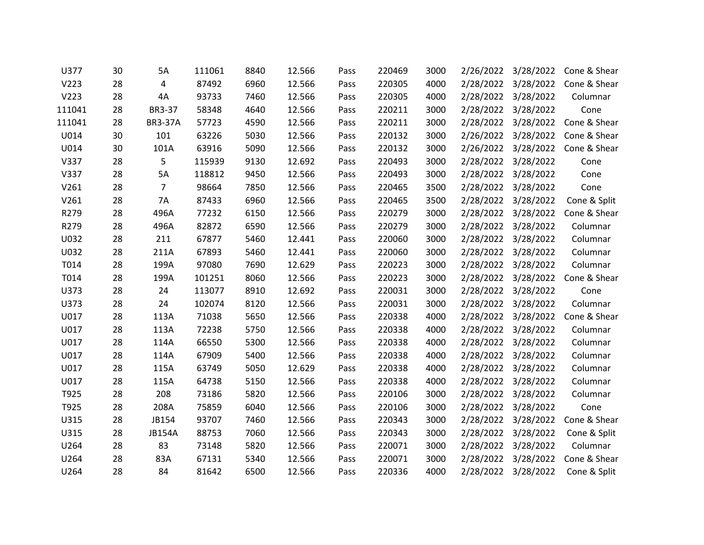| U377   | 30 | 5A             | 111061 | 8840 | 12.566 | Pass | 220469 | 3000 | 2/26/2022 | 3/28/2022           | Cone & Shear |
|--------|----|----------------|--------|------|--------|------|--------|------|-----------|---------------------|--------------|
| V223   | 28 | 4              | 87492  | 6960 | 12.566 | Pass | 220305 | 4000 | 2/28/2022 | 3/28/2022           | Cone & Shear |
| V223   | 28 | 4A             | 93733  | 7460 | 12.566 | Pass | 220305 | 4000 |           | 2/28/2022 3/28/2022 | Columnar     |
| 111041 | 28 | BR3-37         | 58348  | 4640 | 12.566 | Pass | 220211 | 3000 | 2/28/2022 | 3/28/2022           | Cone         |
| 111041 | 28 | <b>BR3-37A</b> | 57723  | 4590 | 12.566 | Pass | 220211 | 3000 | 2/28/2022 | 3/28/2022           | Cone & Shear |
| U014   | 30 | 101            | 63226  | 5030 | 12.566 | Pass | 220132 | 3000 |           | 2/26/2022 3/28/2022 | Cone & Shear |
| U014   | 30 | 101A           | 63916  | 5090 | 12.566 | Pass | 220132 | 3000 | 2/26/2022 | 3/28/2022           | Cone & Shear |
| V337   | 28 | 5              | 115939 | 9130 | 12.692 | Pass | 220493 | 3000 | 2/28/2022 | 3/28/2022           | Cone         |
| V337   | 28 | 5A             | 118812 | 9450 | 12.566 | Pass | 220493 | 3000 |           | 2/28/2022 3/28/2022 | Cone         |
| V261   | 28 | 7              | 98664  | 7850 | 12.566 | Pass | 220465 | 3500 | 2/28/2022 | 3/28/2022           | Cone         |
| V261   | 28 | 7A             | 87433  | 6960 | 12.566 | Pass | 220465 | 3500 | 2/28/2022 | 3/28/2022           | Cone & Split |
| R279   | 28 | 496A           | 77232  | 6150 | 12.566 | Pass | 220279 | 3000 |           | 2/28/2022 3/28/2022 | Cone & Shear |
| R279   | 28 | 496A           | 82872  | 6590 | 12.566 | Pass | 220279 | 3000 | 2/28/2022 | 3/28/2022           | Columnar     |
| U032   | 28 | 211            | 67877  | 5460 | 12.441 | Pass | 220060 | 3000 |           | 2/28/2022 3/28/2022 | Columnar     |
| U032   | 28 | 211A           | 67893  | 5460 | 12.441 | Pass | 220060 | 3000 |           | 2/28/2022 3/28/2022 | Columnar     |
| T014   | 28 | 199A           | 97080  | 7690 | 12.629 | Pass | 220223 | 3000 | 2/28/2022 | 3/28/2022           | Columnar     |
| T014   | 28 | 199A           | 101251 | 8060 | 12.566 | Pass | 220223 | 3000 |           | 2/28/2022 3/28/2022 | Cone & Shear |
| U373   | 28 | 24             | 113077 | 8910 | 12.692 | Pass | 220031 | 3000 | 2/28/2022 | 3/28/2022           | Cone         |
| U373   | 28 | 24             | 102074 | 8120 | 12.566 | Pass | 220031 | 3000 | 2/28/2022 | 3/28/2022           | Columnar     |
| U017   | 28 | 113A           | 71038  | 5650 | 12.566 | Pass | 220338 | 4000 |           | 2/28/2022 3/28/2022 | Cone & Shear |
| U017   | 28 | 113A           | 72238  | 5750 | 12.566 | Pass | 220338 | 4000 | 2/28/2022 | 3/28/2022           | Columnar     |
| U017   | 28 | 114A           | 66550  | 5300 | 12.566 | Pass | 220338 | 4000 | 2/28/2022 | 3/28/2022           | Columnar     |
| U017   | 28 | 114A           | 67909  | 5400 | 12.566 | Pass | 220338 | 4000 |           | 2/28/2022 3/28/2022 | Columnar     |
| U017   | 28 | 115A           | 63749  | 5050 | 12.629 | Pass | 220338 | 4000 | 2/28/2022 | 3/28/2022           | Columnar     |
| U017   | 28 | 115A           | 64738  | 5150 | 12.566 | Pass | 220338 | 4000 | 2/28/2022 | 3/28/2022           | Columnar     |
| T925   | 28 | 208            | 73186  | 5820 | 12.566 | Pass | 220106 | 3000 |           | 2/28/2022 3/28/2022 | Columnar     |
| T925   | 28 | 208A           | 75859  | 6040 | 12.566 | Pass | 220106 | 3000 | 2/28/2022 | 3/28/2022           | Cone         |
| U315   | 28 | JB154          | 93707  | 7460 | 12.566 | Pass | 220343 | 3000 | 2/28/2022 | 3/28/2022           | Cone & Shear |
| U315   | 28 | <b>JB154A</b>  | 88753  | 7060 | 12.566 | Pass | 220343 | 3000 |           | 2/28/2022 3/28/2022 | Cone & Split |
| U264   | 28 | 83             | 73148  | 5820 | 12.566 | Pass | 220071 | 3000 | 2/28/2022 | 3/28/2022           | Columnar     |
| U264   | 28 | 83A            | 67131  | 5340 | 12.566 | Pass | 220071 | 3000 | 2/28/2022 | 3/28/2022           | Cone & Shear |
| U264   | 28 | 84             | 81642  | 6500 | 12.566 | Pass | 220336 | 4000 | 2/28/2022 | 3/28/2022           | Cone & Split |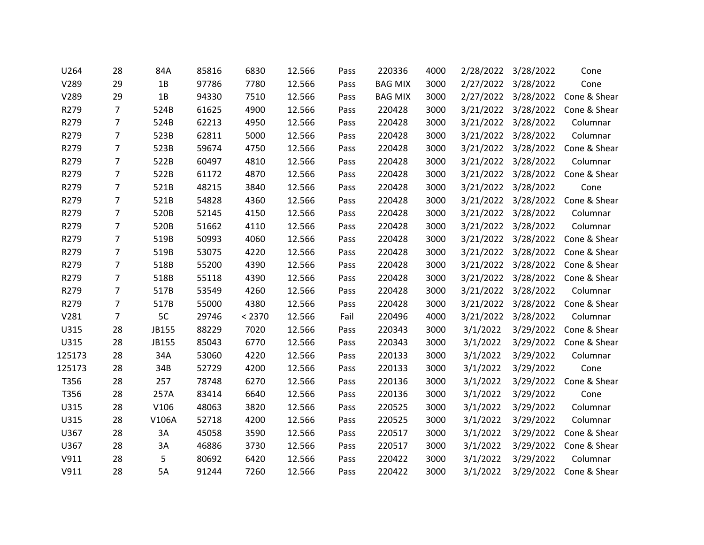| U264   | 28             | 84A   | 85816 | 6830   | 12.566 | Pass | 220336         | 4000 | 2/28/2022 | 3/28/2022           | Cone         |
|--------|----------------|-------|-------|--------|--------|------|----------------|------|-----------|---------------------|--------------|
| V289   | 29             | 1B    | 97786 | 7780   | 12.566 | Pass | <b>BAG MIX</b> | 3000 | 2/27/2022 | 3/28/2022           | Cone         |
| V289   | 29             | 1B    | 94330 | 7510   | 12.566 | Pass | <b>BAG MIX</b> | 3000 |           | 2/27/2022 3/28/2022 | Cone & Shear |
| R279   | 7              | 524B  | 61625 | 4900   | 12.566 | Pass | 220428         | 3000 | 3/21/2022 | 3/28/2022           | Cone & Shear |
| R279   | 7              | 524B  | 62213 | 4950   | 12.566 | Pass | 220428         | 3000 | 3/21/2022 | 3/28/2022           | Columnar     |
| R279   | 7              | 523B  | 62811 | 5000   | 12.566 | Pass | 220428         | 3000 |           | 3/21/2022 3/28/2022 | Columnar     |
| R279   | 7              | 523B  | 59674 | 4750   | 12.566 | Pass | 220428         | 3000 | 3/21/2022 | 3/28/2022           | Cone & Shear |
| R279   | 7              | 522B  | 60497 | 4810   | 12.566 | Pass | 220428         | 3000 | 3/21/2022 | 3/28/2022           | Columnar     |
| R279   | 7              | 522B  | 61172 | 4870   | 12.566 | Pass | 220428         | 3000 |           | 3/21/2022 3/28/2022 | Cone & Shear |
| R279   | 7              | 521B  | 48215 | 3840   | 12.566 | Pass | 220428         | 3000 | 3/21/2022 | 3/28/2022           | Cone         |
| R279   | $\overline{7}$ | 521B  | 54828 | 4360   | 12.566 | Pass | 220428         | 3000 | 3/21/2022 | 3/28/2022           | Cone & Shear |
| R279   | $\overline{7}$ | 520B  | 52145 | 4150   | 12.566 | Pass | 220428         | 3000 | 3/21/2022 | 3/28/2022           | Columnar     |
| R279   | 7              | 520B  | 51662 | 4110   | 12.566 | Pass | 220428         | 3000 | 3/21/2022 | 3/28/2022           | Columnar     |
| R279   | $\overline{7}$ | 519B  | 50993 | 4060   | 12.566 | Pass | 220428         | 3000 | 3/21/2022 | 3/28/2022           | Cone & Shear |
| R279   | 7              | 519B  | 53075 | 4220   | 12.566 | Pass | 220428         | 3000 | 3/21/2022 | 3/28/2022           | Cone & Shear |
| R279   | 7              | 518B  | 55200 | 4390   | 12.566 | Pass | 220428         | 3000 | 3/21/2022 | 3/28/2022           | Cone & Shear |
| R279   | 7              | 518B  | 55118 | 4390   | 12.566 | Pass | 220428         | 3000 | 3/21/2022 | 3/28/2022           | Cone & Shear |
| R279   | 7              | 517B  | 53549 | 4260   | 12.566 | Pass | 220428         | 3000 | 3/21/2022 | 3/28/2022           | Columnar     |
| R279   | 7              | 517B  | 55000 | 4380   | 12.566 | Pass | 220428         | 3000 | 3/21/2022 | 3/28/2022           | Cone & Shear |
| V281   | 7              | 5C    | 29746 | < 2370 | 12.566 | Fail | 220496         | 4000 | 3/21/2022 | 3/28/2022           | Columnar     |
| U315   | 28             | JB155 | 88229 | 7020   | 12.566 | Pass | 220343         | 3000 | 3/1/2022  | 3/29/2022           | Cone & Shear |
| U315   | 28             | JB155 | 85043 | 6770   | 12.566 | Pass | 220343         | 3000 | 3/1/2022  | 3/29/2022           | Cone & Shear |
| 125173 | 28             | 34A   | 53060 | 4220   | 12.566 | Pass | 220133         | 3000 | 3/1/2022  | 3/29/2022           | Columnar     |
| 125173 | 28             | 34B   | 52729 | 4200   | 12.566 | Pass | 220133         | 3000 | 3/1/2022  | 3/29/2022           | Cone         |
| T356   | 28             | 257   | 78748 | 6270   | 12.566 | Pass | 220136         | 3000 | 3/1/2022  | 3/29/2022           | Cone & Shear |
| T356   | 28             | 257A  | 83414 | 6640   | 12.566 | Pass | 220136         | 3000 | 3/1/2022  | 3/29/2022           | Cone         |
| U315   | 28             | V106  | 48063 | 3820   | 12.566 | Pass | 220525         | 3000 | 3/1/2022  | 3/29/2022           | Columnar     |
| U315   | 28             | V106A | 52718 | 4200   | 12.566 | Pass | 220525         | 3000 | 3/1/2022  | 3/29/2022           | Columnar     |
| U367   | 28             | 3A    | 45058 | 3590   | 12.566 | Pass | 220517         | 3000 | 3/1/2022  | 3/29/2022           | Cone & Shear |
| U367   | 28             | 3A    | 46886 | 3730   | 12.566 | Pass | 220517         | 3000 | 3/1/2022  | 3/29/2022           | Cone & Shear |
| V911   | 28             | 5     | 80692 | 6420   | 12.566 | Pass | 220422         | 3000 | 3/1/2022  | 3/29/2022           | Columnar     |
| V911   | 28             | 5A    | 91244 | 7260   | 12.566 | Pass | 220422         | 3000 | 3/1/2022  | 3/29/2022           | Cone & Shear |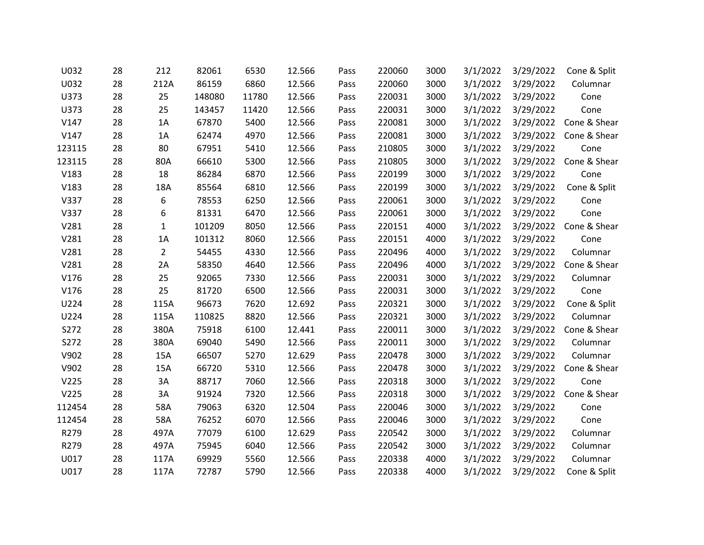| U032   | 28 | 212            | 82061  | 6530  | 12.566 | Pass | 220060 | 3000 | 3/1/2022 | 3/29/2022 | Cone & Split |
|--------|----|----------------|--------|-------|--------|------|--------|------|----------|-----------|--------------|
| U032   | 28 | 212A           | 86159  | 6860  | 12.566 | Pass | 220060 | 3000 | 3/1/2022 | 3/29/2022 | Columnar     |
| U373   | 28 | 25             | 148080 | 11780 | 12.566 | Pass | 220031 | 3000 | 3/1/2022 | 3/29/2022 | Cone         |
| U373   | 28 | 25             | 143457 | 11420 | 12.566 | Pass | 220031 | 3000 | 3/1/2022 | 3/29/2022 | Cone         |
| V147   | 28 | 1A             | 67870  | 5400  | 12.566 | Pass | 220081 | 3000 | 3/1/2022 | 3/29/2022 | Cone & Shear |
| V147   | 28 | 1A             | 62474  | 4970  | 12.566 | Pass | 220081 | 3000 | 3/1/2022 | 3/29/2022 | Cone & Shear |
| 123115 | 28 | 80             | 67951  | 5410  | 12.566 | Pass | 210805 | 3000 | 3/1/2022 | 3/29/2022 | Cone         |
| 123115 | 28 | 80A            | 66610  | 5300  | 12.566 | Pass | 210805 | 3000 | 3/1/2022 | 3/29/2022 | Cone & Shear |
| V183   | 28 | 18             | 86284  | 6870  | 12.566 | Pass | 220199 | 3000 | 3/1/2022 | 3/29/2022 | Cone         |
| V183   | 28 | 18A            | 85564  | 6810  | 12.566 | Pass | 220199 | 3000 | 3/1/2022 | 3/29/2022 | Cone & Split |
| V337   | 28 | 6              | 78553  | 6250  | 12.566 | Pass | 220061 | 3000 | 3/1/2022 | 3/29/2022 | Cone         |
| V337   | 28 | 6              | 81331  | 6470  | 12.566 | Pass | 220061 | 3000 | 3/1/2022 | 3/29/2022 | Cone         |
| V281   | 28 | $\mathbf{1}$   | 101209 | 8050  | 12.566 | Pass | 220151 | 4000 | 3/1/2022 | 3/29/2022 | Cone & Shear |
| V281   | 28 | 1A             | 101312 | 8060  | 12.566 | Pass | 220151 | 4000 | 3/1/2022 | 3/29/2022 | Cone         |
| V281   | 28 | $\overline{2}$ | 54455  | 4330  | 12.566 | Pass | 220496 | 4000 | 3/1/2022 | 3/29/2022 | Columnar     |
| V281   | 28 | 2A             | 58350  | 4640  | 12.566 | Pass | 220496 | 4000 | 3/1/2022 | 3/29/2022 | Cone & Shear |
| V176   | 28 | 25             | 92065  | 7330  | 12.566 | Pass | 220031 | 3000 | 3/1/2022 | 3/29/2022 | Columnar     |
| V176   | 28 | 25             | 81720  | 6500  | 12.566 | Pass | 220031 | 3000 | 3/1/2022 | 3/29/2022 | Cone         |
| U224   | 28 | 115A           | 96673  | 7620  | 12.692 | Pass | 220321 | 3000 | 3/1/2022 | 3/29/2022 | Cone & Split |
| U224   | 28 | 115A           | 110825 | 8820  | 12.566 | Pass | 220321 | 3000 | 3/1/2022 | 3/29/2022 | Columnar     |
| S272   | 28 | 380A           | 75918  | 6100  | 12.441 | Pass | 220011 | 3000 | 3/1/2022 | 3/29/2022 | Cone & Shear |
| S272   | 28 | 380A           | 69040  | 5490  | 12.566 | Pass | 220011 | 3000 | 3/1/2022 | 3/29/2022 | Columnar     |
| V902   | 28 | 15A            | 66507  | 5270  | 12.629 | Pass | 220478 | 3000 | 3/1/2022 | 3/29/2022 | Columnar     |
| V902   | 28 | 15A            | 66720  | 5310  | 12.566 | Pass | 220478 | 3000 | 3/1/2022 | 3/29/2022 | Cone & Shear |
| V225   | 28 | 3A             | 88717  | 7060  | 12.566 | Pass | 220318 | 3000 | 3/1/2022 | 3/29/2022 | Cone         |
| V225   | 28 | 3A             | 91924  | 7320  | 12.566 | Pass | 220318 | 3000 | 3/1/2022 | 3/29/2022 | Cone & Shear |
| 112454 | 28 | 58A            | 79063  | 6320  | 12.504 | Pass | 220046 | 3000 | 3/1/2022 | 3/29/2022 | Cone         |
| 112454 | 28 | 58A            | 76252  | 6070  | 12.566 | Pass | 220046 | 3000 | 3/1/2022 | 3/29/2022 | Cone         |
| R279   | 28 | 497A           | 77079  | 6100  | 12.629 | Pass | 220542 | 3000 | 3/1/2022 | 3/29/2022 | Columnar     |
| R279   | 28 | 497A           | 75945  | 6040  | 12.566 | Pass | 220542 | 3000 | 3/1/2022 | 3/29/2022 | Columnar     |
| U017   | 28 | 117A           | 69929  | 5560  | 12.566 | Pass | 220338 | 4000 | 3/1/2022 | 3/29/2022 | Columnar     |
| U017   | 28 | 117A           | 72787  | 5790  | 12.566 | Pass | 220338 | 4000 | 3/1/2022 | 3/29/2022 | Cone & Split |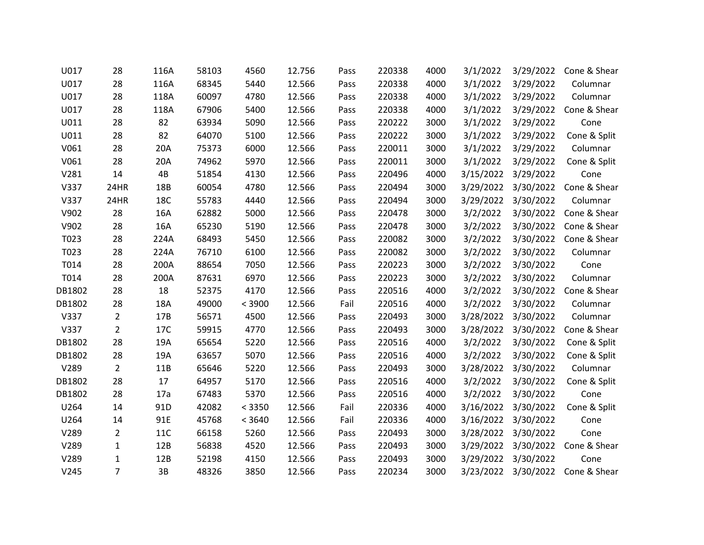| U017   | 28             | 116A       | 58103 | 4560   | 12.756 | Pass | 220338 | 4000 | 3/1/2022  | 3/29/2022           | Cone & Shear |
|--------|----------------|------------|-------|--------|--------|------|--------|------|-----------|---------------------|--------------|
| U017   | 28             | 116A       | 68345 | 5440   | 12.566 | Pass | 220338 | 4000 | 3/1/2022  | 3/29/2022           | Columnar     |
| U017   | 28             | 118A       | 60097 | 4780   | 12.566 | Pass | 220338 | 4000 | 3/1/2022  | 3/29/2022           | Columnar     |
| U017   | 28             | 118A       | 67906 | 5400   | 12.566 | Pass | 220338 | 4000 | 3/1/2022  | 3/29/2022           | Cone & Shear |
| U011   | 28             | 82         | 63934 | 5090   | 12.566 | Pass | 220222 | 3000 | 3/1/2022  | 3/29/2022           | Cone         |
| U011   | 28             | 82         | 64070 | 5100   | 12.566 | Pass | 220222 | 3000 | 3/1/2022  | 3/29/2022           | Cone & Split |
| V061   | 28             | 20A        | 75373 | 6000   | 12.566 | Pass | 220011 | 3000 | 3/1/2022  | 3/29/2022           | Columnar     |
| V061   | 28             | 20A        | 74962 | 5970   | 12.566 | Pass | 220011 | 3000 | 3/1/2022  | 3/29/2022           | Cone & Split |
| V281   | 14             | 4B         | 51854 | 4130   | 12.566 | Pass | 220496 | 4000 |           | 3/15/2022 3/29/2022 | Cone         |
| V337   | 24HR           | 18B        | 60054 | 4780   | 12.566 | Pass | 220494 | 3000 | 3/29/2022 | 3/30/2022           | Cone & Shear |
| V337   | 24HR           | 18C        | 55783 | 4440   | 12.566 | Pass | 220494 | 3000 | 3/29/2022 | 3/30/2022           | Columnar     |
| V902   | 28             | 16A        | 62882 | 5000   | 12.566 | Pass | 220478 | 3000 | 3/2/2022  | 3/30/2022           | Cone & Shear |
| V902   | 28             | 16A        | 65230 | 5190   | 12.566 | Pass | 220478 | 3000 | 3/2/2022  | 3/30/2022           | Cone & Shear |
| T023   | 28             | 224A       | 68493 | 5450   | 12.566 | Pass | 220082 | 3000 | 3/2/2022  | 3/30/2022           | Cone & Shear |
| T023   | 28             | 224A       | 76710 | 6100   | 12.566 | Pass | 220082 | 3000 | 3/2/2022  | 3/30/2022           | Columnar     |
| T014   | 28             | 200A       | 88654 | 7050   | 12.566 | Pass | 220223 | 3000 | 3/2/2022  | 3/30/2022           | Cone         |
| T014   | 28             | 200A       | 87631 | 6970   | 12.566 | Pass | 220223 | 3000 | 3/2/2022  | 3/30/2022           | Columnar     |
| DB1802 | 28             | 18         | 52375 | 4170   | 12.566 | Pass | 220516 | 4000 | 3/2/2022  | 3/30/2022           | Cone & Shear |
| DB1802 | 28             | 18A        | 49000 | < 3900 | 12.566 | Fail | 220516 | 4000 | 3/2/2022  | 3/30/2022           | Columnar     |
| V337   | $\overline{2}$ | 17B        | 56571 | 4500   | 12.566 | Pass | 220493 | 3000 |           | 3/28/2022 3/30/2022 | Columnar     |
| V337   | $\overline{2}$ | 17C        | 59915 | 4770   | 12.566 | Pass | 220493 | 3000 | 3/28/2022 | 3/30/2022           | Cone & Shear |
| DB1802 | 28             | 19A        | 65654 | 5220   | 12.566 | Pass | 220516 | 4000 | 3/2/2022  | 3/30/2022           | Cone & Split |
| DB1802 | 28             | 19A        | 63657 | 5070   | 12.566 | Pass | 220516 | 4000 | 3/2/2022  | 3/30/2022           | Cone & Split |
| V289   | $\overline{2}$ | 11B        | 65646 | 5220   | 12.566 | Pass | 220493 | 3000 | 3/28/2022 | 3/30/2022           | Columnar     |
| DB1802 | 28             | 17         | 64957 | 5170   | 12.566 | Pass | 220516 | 4000 | 3/2/2022  | 3/30/2022           | Cone & Split |
| DB1802 | 28             | 17a        | 67483 | 5370   | 12.566 | Pass | 220516 | 4000 | 3/2/2022  | 3/30/2022           | Cone         |
| U264   | 14             | 91D        | 42082 | < 3350 | 12.566 | Fail | 220336 | 4000 | 3/16/2022 | 3/30/2022           | Cone & Split |
| U264   | 14             | 91E        | 45768 | < 3640 | 12.566 | Fail | 220336 | 4000 | 3/16/2022 | 3/30/2022           | Cone         |
| V289   | $\overline{2}$ | <b>11C</b> | 66158 | 5260   | 12.566 | Pass | 220493 | 3000 | 3/28/2022 | 3/30/2022           | Cone         |
| V289   | 1              | 12B        | 56838 | 4520   | 12.566 | Pass | 220493 | 3000 | 3/29/2022 | 3/30/2022           | Cone & Shear |
| V289   | 1              | 12B        | 52198 | 4150   | 12.566 | Pass | 220493 | 3000 | 3/29/2022 | 3/30/2022           | Cone         |
| V245   | $\overline{7}$ | 3B         | 48326 | 3850   | 12.566 | Pass | 220234 | 3000 | 3/23/2022 | 3/30/2022           | Cone & Shear |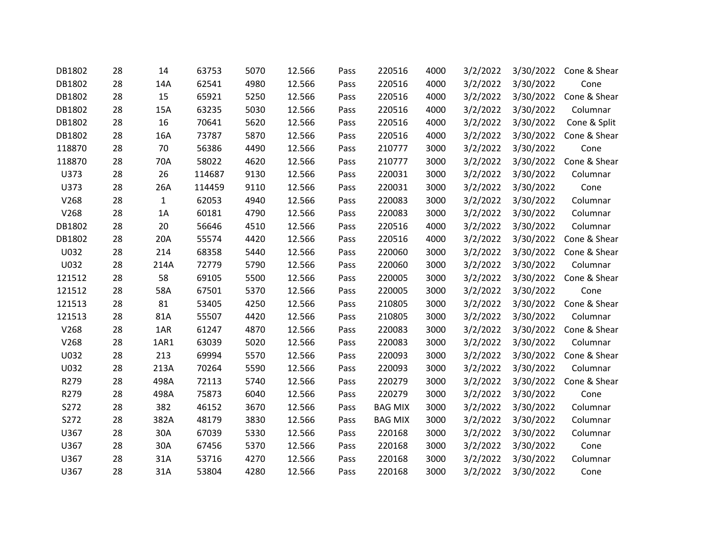| DB1802 | 28 | 14           | 63753  | 5070 | 12.566 | Pass | 220516         | 4000 | 3/2/2022 | 3/30/2022 | Cone & Shear |
|--------|----|--------------|--------|------|--------|------|----------------|------|----------|-----------|--------------|
| DB1802 | 28 | 14A          | 62541  | 4980 | 12.566 | Pass | 220516         | 4000 | 3/2/2022 | 3/30/2022 | Cone         |
| DB1802 | 28 | 15           | 65921  | 5250 | 12.566 | Pass | 220516         | 4000 | 3/2/2022 | 3/30/2022 | Cone & Shear |
| DB1802 | 28 | 15A          | 63235  | 5030 | 12.566 | Pass | 220516         | 4000 | 3/2/2022 | 3/30/2022 | Columnar     |
| DB1802 | 28 | 16           | 70641  | 5620 | 12.566 | Pass | 220516         | 4000 | 3/2/2022 | 3/30/2022 | Cone & Split |
| DB1802 | 28 | 16A          | 73787  | 5870 | 12.566 | Pass | 220516         | 4000 | 3/2/2022 | 3/30/2022 | Cone & Shear |
| 118870 | 28 | 70           | 56386  | 4490 | 12.566 | Pass | 210777         | 3000 | 3/2/2022 | 3/30/2022 | Cone         |
| 118870 | 28 | 70A          | 58022  | 4620 | 12.566 | Pass | 210777         | 3000 | 3/2/2022 | 3/30/2022 | Cone & Shear |
| U373   | 28 | 26           | 114687 | 9130 | 12.566 | Pass | 220031         | 3000 | 3/2/2022 | 3/30/2022 | Columnar     |
| U373   | 28 | 26A          | 114459 | 9110 | 12.566 | Pass | 220031         | 3000 | 3/2/2022 | 3/30/2022 | Cone         |
| V268   | 28 | $\mathbf{1}$ | 62053  | 4940 | 12.566 | Pass | 220083         | 3000 | 3/2/2022 | 3/30/2022 | Columnar     |
| V268   | 28 | 1A           | 60181  | 4790 | 12.566 | Pass | 220083         | 3000 | 3/2/2022 | 3/30/2022 | Columnar     |
| DB1802 | 28 | 20           | 56646  | 4510 | 12.566 | Pass | 220516         | 4000 | 3/2/2022 | 3/30/2022 | Columnar     |
| DB1802 | 28 | 20A          | 55574  | 4420 | 12.566 | Pass | 220516         | 4000 | 3/2/2022 | 3/30/2022 | Cone & Shear |
| U032   | 28 | 214          | 68358  | 5440 | 12.566 | Pass | 220060         | 3000 | 3/2/2022 | 3/30/2022 | Cone & Shear |
| U032   | 28 | 214A         | 72779  | 5790 | 12.566 | Pass | 220060         | 3000 | 3/2/2022 | 3/30/2022 | Columnar     |
| 121512 | 28 | 58           | 69105  | 5500 | 12.566 | Pass | 220005         | 3000 | 3/2/2022 | 3/30/2022 | Cone & Shear |
| 121512 | 28 | 58A          | 67501  | 5370 | 12.566 | Pass | 220005         | 3000 | 3/2/2022 | 3/30/2022 | Cone         |
| 121513 | 28 | 81           | 53405  | 4250 | 12.566 | Pass | 210805         | 3000 | 3/2/2022 | 3/30/2022 | Cone & Shear |
| 121513 | 28 | 81A          | 55507  | 4420 | 12.566 | Pass | 210805         | 3000 | 3/2/2022 | 3/30/2022 | Columnar     |
| V268   | 28 | 1AR          | 61247  | 4870 | 12.566 | Pass | 220083         | 3000 | 3/2/2022 | 3/30/2022 | Cone & Shear |
| V268   | 28 | 1AR1         | 63039  | 5020 | 12.566 | Pass | 220083         | 3000 | 3/2/2022 | 3/30/2022 | Columnar     |
| U032   | 28 | 213          | 69994  | 5570 | 12.566 | Pass | 220093         | 3000 | 3/2/2022 | 3/30/2022 | Cone & Shear |
| U032   | 28 | 213A         | 70264  | 5590 | 12.566 | Pass | 220093         | 3000 | 3/2/2022 | 3/30/2022 | Columnar     |
| R279   | 28 | 498A         | 72113  | 5740 | 12.566 | Pass | 220279         | 3000 | 3/2/2022 | 3/30/2022 | Cone & Shear |
| R279   | 28 | 498A         | 75873  | 6040 | 12.566 | Pass | 220279         | 3000 | 3/2/2022 | 3/30/2022 | Cone         |
| S272   | 28 | 382          | 46152  | 3670 | 12.566 | Pass | <b>BAG MIX</b> | 3000 | 3/2/2022 | 3/30/2022 | Columnar     |
| S272   | 28 | 382A         | 48179  | 3830 | 12.566 | Pass | <b>BAG MIX</b> | 3000 | 3/2/2022 | 3/30/2022 | Columnar     |
| U367   | 28 | 30A          | 67039  | 5330 | 12.566 | Pass | 220168         | 3000 | 3/2/2022 | 3/30/2022 | Columnar     |
| U367   | 28 | 30A          | 67456  | 5370 | 12.566 | Pass | 220168         | 3000 | 3/2/2022 | 3/30/2022 | Cone         |
| U367   | 28 | 31A          | 53716  | 4270 | 12.566 | Pass | 220168         | 3000 | 3/2/2022 | 3/30/2022 | Columnar     |
| U367   | 28 | 31A          | 53804  | 4280 | 12.566 | Pass | 220168         | 3000 | 3/2/2022 | 3/30/2022 | Cone         |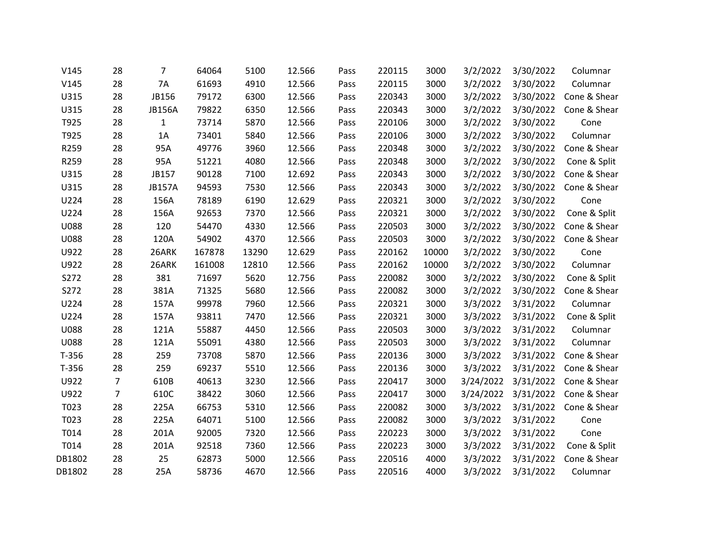| V145        | 28             | 7             | 64064  | 5100  | 12.566 | Pass | 220115 | 3000  | 3/2/2022  | 3/30/2022           | Columnar     |
|-------------|----------------|---------------|--------|-------|--------|------|--------|-------|-----------|---------------------|--------------|
| V145        | 28             | 7A            | 61693  | 4910  | 12.566 | Pass | 220115 | 3000  | 3/2/2022  | 3/30/2022           | Columnar     |
| U315        | 28             | JB156         | 79172  | 6300  | 12.566 | Pass | 220343 | 3000  | 3/2/2022  | 3/30/2022           | Cone & Shear |
| U315        | 28             | <b>JB156A</b> | 79822  | 6350  | 12.566 | Pass | 220343 | 3000  | 3/2/2022  | 3/30/2022           | Cone & Shear |
| T925        | 28             | $\mathbf{1}$  | 73714  | 5870  | 12.566 | Pass | 220106 | 3000  | 3/2/2022  | 3/30/2022           | Cone         |
| T925        | 28             | 1A            | 73401  | 5840  | 12.566 | Pass | 220106 | 3000  | 3/2/2022  | 3/30/2022           | Columnar     |
| R259        | 28             | 95A           | 49776  | 3960  | 12.566 | Pass | 220348 | 3000  | 3/2/2022  | 3/30/2022           | Cone & Shear |
| R259        | 28             | 95A           | 51221  | 4080  | 12.566 | Pass | 220348 | 3000  | 3/2/2022  | 3/30/2022           | Cone & Split |
| U315        | 28             | JB157         | 90128  | 7100  | 12.692 | Pass | 220343 | 3000  | 3/2/2022  | 3/30/2022           | Cone & Shear |
| U315        | 28             | <b>JB157A</b> | 94593  | 7530  | 12.566 | Pass | 220343 | 3000  | 3/2/2022  | 3/30/2022           | Cone & Shear |
| U224        | 28             | 156A          | 78189  | 6190  | 12.629 | Pass | 220321 | 3000  | 3/2/2022  | 3/30/2022           | Cone         |
| U224        | 28             | 156A          | 92653  | 7370  | 12.566 | Pass | 220321 | 3000  | 3/2/2022  | 3/30/2022           | Cone & Split |
| <b>U088</b> | 28             | 120           | 54470  | 4330  | 12.566 | Pass | 220503 | 3000  | 3/2/2022  | 3/30/2022           | Cone & Shear |
| <b>U088</b> | 28             | 120A          | 54902  | 4370  | 12.566 | Pass | 220503 | 3000  | 3/2/2022  | 3/30/2022           | Cone & Shear |
| U922        | 28             | 26ARK         | 167878 | 13290 | 12.629 | Pass | 220162 | 10000 | 3/2/2022  | 3/30/2022           | Cone         |
| U922        | 28             | 26ARK         | 161008 | 12810 | 12.566 | Pass | 220162 | 10000 | 3/2/2022  | 3/30/2022           | Columnar     |
| S272        | 28             | 381           | 71697  | 5620  | 12.756 | Pass | 220082 | 3000  | 3/2/2022  | 3/30/2022           | Cone & Split |
| S272        | 28             | 381A          | 71325  | 5680  | 12.566 | Pass | 220082 | 3000  | 3/2/2022  | 3/30/2022           | Cone & Shear |
| U224        | 28             | 157A          | 99978  | 7960  | 12.566 | Pass | 220321 | 3000  | 3/3/2022  | 3/31/2022           | Columnar     |
| U224        | 28             | 157A          | 93811  | 7470  | 12.566 | Pass | 220321 | 3000  | 3/3/2022  | 3/31/2022           | Cone & Split |
| <b>U088</b> | 28             | 121A          | 55887  | 4450  | 12.566 | Pass | 220503 | 3000  | 3/3/2022  | 3/31/2022           | Columnar     |
| <b>U088</b> | 28             | 121A          | 55091  | 4380  | 12.566 | Pass | 220503 | 3000  | 3/3/2022  | 3/31/2022           | Columnar     |
| $T-356$     | 28             | 259           | 73708  | 5870  | 12.566 | Pass | 220136 | 3000  | 3/3/2022  | 3/31/2022           | Cone & Shear |
| $T-356$     | 28             | 259           | 69237  | 5510  | 12.566 | Pass | 220136 | 3000  | 3/3/2022  | 3/31/2022           | Cone & Shear |
| U922        | 7              | 610B          | 40613  | 3230  | 12.566 | Pass | 220417 | 3000  | 3/24/2022 | 3/31/2022           | Cone & Shear |
| U922        | $\overline{7}$ | 610C          | 38422  | 3060  | 12.566 | Pass | 220417 | 3000  |           | 3/24/2022 3/31/2022 | Cone & Shear |
| T023        | 28             | 225A          | 66753  | 5310  | 12.566 | Pass | 220082 | 3000  | 3/3/2022  | 3/31/2022           | Cone & Shear |
| T023        | 28             | 225A          | 64071  | 5100  | 12.566 | Pass | 220082 | 3000  | 3/3/2022  | 3/31/2022           | Cone         |
| T014        | 28             | 201A          | 92005  | 7320  | 12.566 | Pass | 220223 | 3000  | 3/3/2022  | 3/31/2022           | Cone         |
| T014        | 28             | 201A          | 92518  | 7360  | 12.566 | Pass | 220223 | 3000  | 3/3/2022  | 3/31/2022           | Cone & Split |
| DB1802      | 28             | 25            | 62873  | 5000  | 12.566 | Pass | 220516 | 4000  | 3/3/2022  | 3/31/2022           | Cone & Shear |
| DB1802      | 28             | 25A           | 58736  | 4670  | 12.566 | Pass | 220516 | 4000  | 3/3/2022  | 3/31/2022           | Columnar     |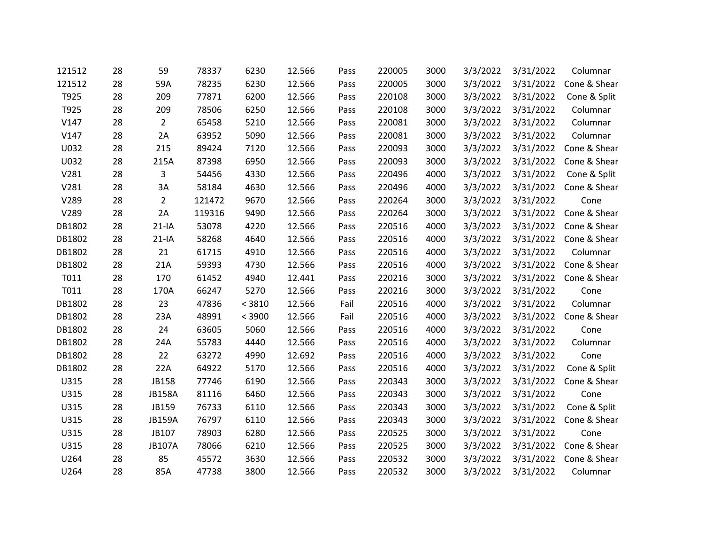| 121512 | 28 | 59             | 78337  | 6230   | 12.566 | Pass | 220005 | 3000 | 3/3/2022 | 3/31/2022 | Columnar     |
|--------|----|----------------|--------|--------|--------|------|--------|------|----------|-----------|--------------|
| 121512 | 28 | 59A            | 78235  | 6230   | 12.566 | Pass | 220005 | 3000 | 3/3/2022 | 3/31/2022 | Cone & Shear |
| T925   | 28 | 209            | 77871  | 6200   | 12.566 | Pass | 220108 | 3000 | 3/3/2022 | 3/31/2022 | Cone & Split |
| T925   | 28 | 209            | 78506  | 6250   | 12.566 | Pass | 220108 | 3000 | 3/3/2022 | 3/31/2022 | Columnar     |
| V147   | 28 | $\overline{2}$ | 65458  | 5210   | 12.566 | Pass | 220081 | 3000 | 3/3/2022 | 3/31/2022 | Columnar     |
| V147   | 28 | 2A             | 63952  | 5090   | 12.566 | Pass | 220081 | 3000 | 3/3/2022 | 3/31/2022 | Columnar     |
| U032   | 28 | 215            | 89424  | 7120   | 12.566 | Pass | 220093 | 3000 | 3/3/2022 | 3/31/2022 | Cone & Shear |
| U032   | 28 | 215A           | 87398  | 6950   | 12.566 | Pass | 220093 | 3000 | 3/3/2022 | 3/31/2022 | Cone & Shear |
| V281   | 28 | 3              | 54456  | 4330   | 12.566 | Pass | 220496 | 4000 | 3/3/2022 | 3/31/2022 | Cone & Split |
| V281   | 28 | 3A             | 58184  | 4630   | 12.566 | Pass | 220496 | 4000 | 3/3/2022 | 3/31/2022 | Cone & Shear |
| V289   | 28 | $\overline{2}$ | 121472 | 9670   | 12.566 | Pass | 220264 | 3000 | 3/3/2022 | 3/31/2022 | Cone         |
| V289   | 28 | 2A             | 119316 | 9490   | 12.566 | Pass | 220264 | 3000 | 3/3/2022 | 3/31/2022 | Cone & Shear |
| DB1802 | 28 | $21-IA$        | 53078  | 4220   | 12.566 | Pass | 220516 | 4000 | 3/3/2022 | 3/31/2022 | Cone & Shear |
| DB1802 | 28 | $21-IA$        | 58268  | 4640   | 12.566 | Pass | 220516 | 4000 | 3/3/2022 | 3/31/2022 | Cone & Shear |
| DB1802 | 28 | 21             | 61715  | 4910   | 12.566 | Pass | 220516 | 4000 | 3/3/2022 | 3/31/2022 | Columnar     |
| DB1802 | 28 | 21A            | 59393  | 4730   | 12.566 | Pass | 220516 | 4000 | 3/3/2022 | 3/31/2022 | Cone & Shear |
| T011   | 28 | 170            | 61452  | 4940   | 12.441 | Pass | 220216 | 3000 | 3/3/2022 | 3/31/2022 | Cone & Shear |
| T011   | 28 | 170A           | 66247  | 5270   | 12.566 | Pass | 220216 | 3000 | 3/3/2022 | 3/31/2022 | Cone         |
| DB1802 | 28 | 23             | 47836  | < 3810 | 12.566 | Fail | 220516 | 4000 | 3/3/2022 | 3/31/2022 | Columnar     |
| DB1802 | 28 | 23A            | 48991  | < 3900 | 12.566 | Fail | 220516 | 4000 | 3/3/2022 | 3/31/2022 | Cone & Shear |
| DB1802 | 28 | 24             | 63605  | 5060   | 12.566 | Pass | 220516 | 4000 | 3/3/2022 | 3/31/2022 | Cone         |
| DB1802 | 28 | 24A            | 55783  | 4440   | 12.566 | Pass | 220516 | 4000 | 3/3/2022 | 3/31/2022 | Columnar     |
| DB1802 | 28 | 22             | 63272  | 4990   | 12.692 | Pass | 220516 | 4000 | 3/3/2022 | 3/31/2022 | Cone         |
| DB1802 | 28 | 22A            | 64922  | 5170   | 12.566 | Pass | 220516 | 4000 | 3/3/2022 | 3/31/2022 | Cone & Split |
| U315   | 28 | JB158          | 77746  | 6190   | 12.566 | Pass | 220343 | 3000 | 3/3/2022 | 3/31/2022 | Cone & Shear |
| U315   | 28 | <b>JB158A</b>  | 81116  | 6460   | 12.566 | Pass | 220343 | 3000 | 3/3/2022 | 3/31/2022 | Cone         |
| U315   | 28 | JB159          | 76733  | 6110   | 12.566 | Pass | 220343 | 3000 | 3/3/2022 | 3/31/2022 | Cone & Split |
| U315   | 28 | <b>JB159A</b>  | 76797  | 6110   | 12.566 | Pass | 220343 | 3000 | 3/3/2022 | 3/31/2022 | Cone & Shear |
| U315   | 28 | JB107          | 78903  | 6280   | 12.566 | Pass | 220525 | 3000 | 3/3/2022 | 3/31/2022 | Cone         |
| U315   | 28 | <b>JB107A</b>  | 78066  | 6210   | 12.566 | Pass | 220525 | 3000 | 3/3/2022 | 3/31/2022 | Cone & Shear |
| U264   | 28 | 85             | 45572  | 3630   | 12.566 | Pass | 220532 | 3000 | 3/3/2022 | 3/31/2022 | Cone & Shear |
| U264   | 28 | 85A            | 47738  | 3800   | 12.566 | Pass | 220532 | 3000 | 3/3/2022 | 3/31/2022 | Columnar     |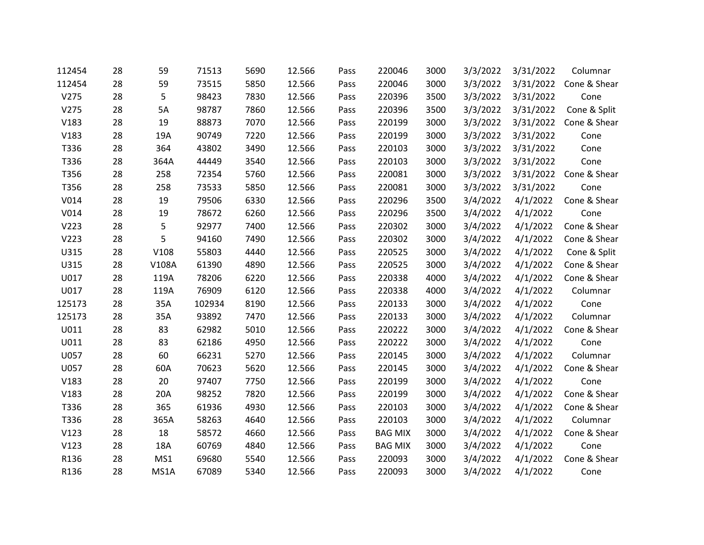| 112454 | 28 | 59    | 71513  | 5690 | 12.566 | Pass | 220046         | 3000 | 3/3/2022 | 3/31/2022 | Columnar     |
|--------|----|-------|--------|------|--------|------|----------------|------|----------|-----------|--------------|
| 112454 | 28 | 59    | 73515  | 5850 | 12.566 | Pass | 220046         | 3000 | 3/3/2022 | 3/31/2022 | Cone & Shear |
| V275   | 28 | 5     | 98423  | 7830 | 12.566 | Pass | 220396         | 3500 | 3/3/2022 | 3/31/2022 | Cone         |
| V275   | 28 | 5A    | 98787  | 7860 | 12.566 | Pass | 220396         | 3500 | 3/3/2022 | 3/31/2022 | Cone & Split |
| V183   | 28 | 19    | 88873  | 7070 | 12.566 | Pass | 220199         | 3000 | 3/3/2022 | 3/31/2022 | Cone & Shear |
| V183   | 28 | 19A   | 90749  | 7220 | 12.566 | Pass | 220199         | 3000 | 3/3/2022 | 3/31/2022 | Cone         |
| T336   | 28 | 364   | 43802  | 3490 | 12.566 | Pass | 220103         | 3000 | 3/3/2022 | 3/31/2022 | Cone         |
| T336   | 28 | 364A  | 44449  | 3540 | 12.566 | Pass | 220103         | 3000 | 3/3/2022 | 3/31/2022 | Cone         |
| T356   | 28 | 258   | 72354  | 5760 | 12.566 | Pass | 220081         | 3000 | 3/3/2022 | 3/31/2022 | Cone & Shear |
| T356   | 28 | 258   | 73533  | 5850 | 12.566 | Pass | 220081         | 3000 | 3/3/2022 | 3/31/2022 | Cone         |
| V014   | 28 | 19    | 79506  | 6330 | 12.566 | Pass | 220296         | 3500 | 3/4/2022 | 4/1/2022  | Cone & Shear |
| V014   | 28 | 19    | 78672  | 6260 | 12.566 | Pass | 220296         | 3500 | 3/4/2022 | 4/1/2022  | Cone         |
| V223   | 28 | 5     | 92977  | 7400 | 12.566 | Pass | 220302         | 3000 | 3/4/2022 | 4/1/2022  | Cone & Shear |
| V223   | 28 | 5     | 94160  | 7490 | 12.566 | Pass | 220302         | 3000 | 3/4/2022 | 4/1/2022  | Cone & Shear |
| U315   | 28 | V108  | 55803  | 4440 | 12.566 | Pass | 220525         | 3000 | 3/4/2022 | 4/1/2022  | Cone & Split |
| U315   | 28 | V108A | 61390  | 4890 | 12.566 | Pass | 220525         | 3000 | 3/4/2022 | 4/1/2022  | Cone & Shear |
| U017   | 28 | 119A  | 78206  | 6220 | 12.566 | Pass | 220338         | 4000 | 3/4/2022 | 4/1/2022  | Cone & Shear |
| U017   | 28 | 119A  | 76909  | 6120 | 12.566 | Pass | 220338         | 4000 | 3/4/2022 | 4/1/2022  | Columnar     |
| 125173 | 28 | 35A   | 102934 | 8190 | 12.566 | Pass | 220133         | 3000 | 3/4/2022 | 4/1/2022  | Cone         |
| 125173 | 28 | 35A   | 93892  | 7470 | 12.566 | Pass | 220133         | 3000 | 3/4/2022 | 4/1/2022  | Columnar     |
| U011   | 28 | 83    | 62982  | 5010 | 12.566 | Pass | 220222         | 3000 | 3/4/2022 | 4/1/2022  | Cone & Shear |
| U011   | 28 | 83    | 62186  | 4950 | 12.566 | Pass | 220222         | 3000 | 3/4/2022 | 4/1/2022  | Cone         |
| U057   | 28 | 60    | 66231  | 5270 | 12.566 | Pass | 220145         | 3000 | 3/4/2022 | 4/1/2022  | Columnar     |
| U057   | 28 | 60A   | 70623  | 5620 | 12.566 | Pass | 220145         | 3000 | 3/4/2022 | 4/1/2022  | Cone & Shear |
| V183   | 28 | 20    | 97407  | 7750 | 12.566 | Pass | 220199         | 3000 | 3/4/2022 | 4/1/2022  | Cone         |
| V183   | 28 | 20A   | 98252  | 7820 | 12.566 | Pass | 220199         | 3000 | 3/4/2022 | 4/1/2022  | Cone & Shear |
| T336   | 28 | 365   | 61936  | 4930 | 12.566 | Pass | 220103         | 3000 | 3/4/2022 | 4/1/2022  | Cone & Shear |
| T336   | 28 | 365A  | 58263  | 4640 | 12.566 | Pass | 220103         | 3000 | 3/4/2022 | 4/1/2022  | Columnar     |
| V123   | 28 | 18    | 58572  | 4660 | 12.566 | Pass | <b>BAG MIX</b> | 3000 | 3/4/2022 | 4/1/2022  | Cone & Shear |
| V123   | 28 | 18A   | 60769  | 4840 | 12.566 | Pass | <b>BAG MIX</b> | 3000 | 3/4/2022 | 4/1/2022  | Cone         |
| R136   | 28 | MS1   | 69680  | 5540 | 12.566 | Pass | 220093         | 3000 | 3/4/2022 | 4/1/2022  | Cone & Shear |
| R136   | 28 | MS1A  | 67089  | 5340 | 12.566 | Pass | 220093         | 3000 | 3/4/2022 | 4/1/2022  | Cone         |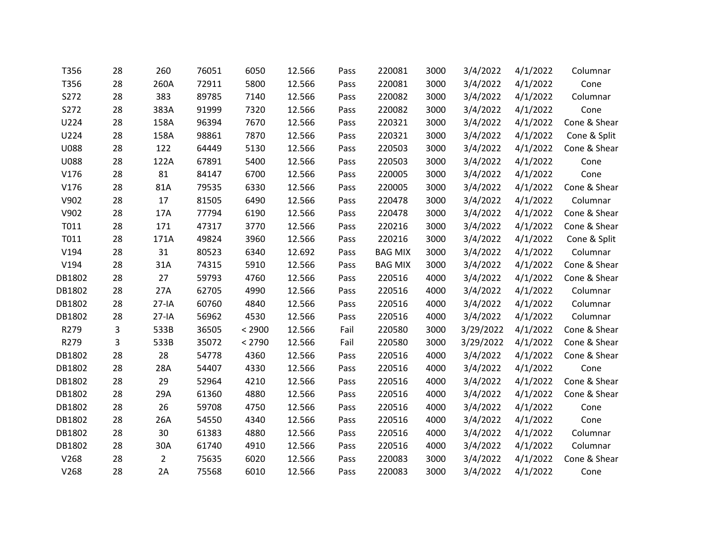| T356        | 28 | 260            | 76051 | 6050   | 12.566 | Pass | 220081         | 3000 | 3/4/2022  | 4/1/2022 | Columnar     |
|-------------|----|----------------|-------|--------|--------|------|----------------|------|-----------|----------|--------------|
| T356        | 28 | 260A           | 72911 | 5800   | 12.566 | Pass | 220081         | 3000 | 3/4/2022  | 4/1/2022 | Cone         |
| S272        | 28 | 383            | 89785 | 7140   | 12.566 | Pass | 220082         | 3000 | 3/4/2022  | 4/1/2022 | Columnar     |
| S272        | 28 | 383A           | 91999 | 7320   | 12.566 | Pass | 220082         | 3000 | 3/4/2022  | 4/1/2022 | Cone         |
| U224        | 28 | 158A           | 96394 | 7670   | 12.566 | Pass | 220321         | 3000 | 3/4/2022  | 4/1/2022 | Cone & Shear |
| U224        | 28 | 158A           | 98861 | 7870   | 12.566 | Pass | 220321         | 3000 | 3/4/2022  | 4/1/2022 | Cone & Split |
| <b>U088</b> | 28 | 122            | 64449 | 5130   | 12.566 | Pass | 220503         | 3000 | 3/4/2022  | 4/1/2022 | Cone & Shear |
| <b>U088</b> | 28 | 122A           | 67891 | 5400   | 12.566 | Pass | 220503         | 3000 | 3/4/2022  | 4/1/2022 | Cone         |
| V176        | 28 | 81             | 84147 | 6700   | 12.566 | Pass | 220005         | 3000 | 3/4/2022  | 4/1/2022 | Cone         |
| V176        | 28 | 81A            | 79535 | 6330   | 12.566 | Pass | 220005         | 3000 | 3/4/2022  | 4/1/2022 | Cone & Shear |
| V902        | 28 | 17             | 81505 | 6490   | 12.566 | Pass | 220478         | 3000 | 3/4/2022  | 4/1/2022 | Columnar     |
| V902        | 28 | 17A            | 77794 | 6190   | 12.566 | Pass | 220478         | 3000 | 3/4/2022  | 4/1/2022 | Cone & Shear |
| T011        | 28 | 171            | 47317 | 3770   | 12.566 | Pass | 220216         | 3000 | 3/4/2022  | 4/1/2022 | Cone & Shear |
| T011        | 28 | 171A           | 49824 | 3960   | 12.566 | Pass | 220216         | 3000 | 3/4/2022  | 4/1/2022 | Cone & Split |
| V194        | 28 | 31             | 80523 | 6340   | 12.692 | Pass | <b>BAG MIX</b> | 3000 | 3/4/2022  | 4/1/2022 | Columnar     |
| V194        | 28 | 31A            | 74315 | 5910   | 12.566 | Pass | <b>BAG MIX</b> | 3000 | 3/4/2022  | 4/1/2022 | Cone & Shear |
| DB1802      | 28 | 27             | 59793 | 4760   | 12.566 | Pass | 220516         | 4000 | 3/4/2022  | 4/1/2022 | Cone & Shear |
| DB1802      | 28 | 27A            | 62705 | 4990   | 12.566 | Pass | 220516         | 4000 | 3/4/2022  | 4/1/2022 | Columnar     |
| DB1802      | 28 | $27-IA$        | 60760 | 4840   | 12.566 | Pass | 220516         | 4000 | 3/4/2022  | 4/1/2022 | Columnar     |
| DB1802      | 28 | $27-IA$        | 56962 | 4530   | 12.566 | Pass | 220516         | 4000 | 3/4/2022  | 4/1/2022 | Columnar     |
| R279        | 3  | 533B           | 36505 | < 2900 | 12.566 | Fail | 220580         | 3000 | 3/29/2022 | 4/1/2022 | Cone & Shear |
| R279        | 3  | 533B           | 35072 | < 2790 | 12.566 | Fail | 220580         | 3000 | 3/29/2022 | 4/1/2022 | Cone & Shear |
| DB1802      | 28 | 28             | 54778 | 4360   | 12.566 | Pass | 220516         | 4000 | 3/4/2022  | 4/1/2022 | Cone & Shear |
| DB1802      | 28 | 28A            | 54407 | 4330   | 12.566 | Pass | 220516         | 4000 | 3/4/2022  | 4/1/2022 | Cone         |
| DB1802      | 28 | 29             | 52964 | 4210   | 12.566 | Pass | 220516         | 4000 | 3/4/2022  | 4/1/2022 | Cone & Shear |
| DB1802      | 28 | 29A            | 61360 | 4880   | 12.566 | Pass | 220516         | 4000 | 3/4/2022  | 4/1/2022 | Cone & Shear |
| DB1802      | 28 | 26             | 59708 | 4750   | 12.566 | Pass | 220516         | 4000 | 3/4/2022  | 4/1/2022 | Cone         |
| DB1802      | 28 | 26A            | 54550 | 4340   | 12.566 | Pass | 220516         | 4000 | 3/4/2022  | 4/1/2022 | Cone         |
| DB1802      | 28 | 30             | 61383 | 4880   | 12.566 | Pass | 220516         | 4000 | 3/4/2022  | 4/1/2022 | Columnar     |
| DB1802      | 28 | 30A            | 61740 | 4910   | 12.566 | Pass | 220516         | 4000 | 3/4/2022  | 4/1/2022 | Columnar     |
| V268        | 28 | $\overline{2}$ | 75635 | 6020   | 12.566 | Pass | 220083         | 3000 | 3/4/2022  | 4/1/2022 | Cone & Shear |
| V268        | 28 | 2A             | 75568 | 6010   | 12.566 | Pass | 220083         | 3000 | 3/4/2022  | 4/1/2022 | Cone         |